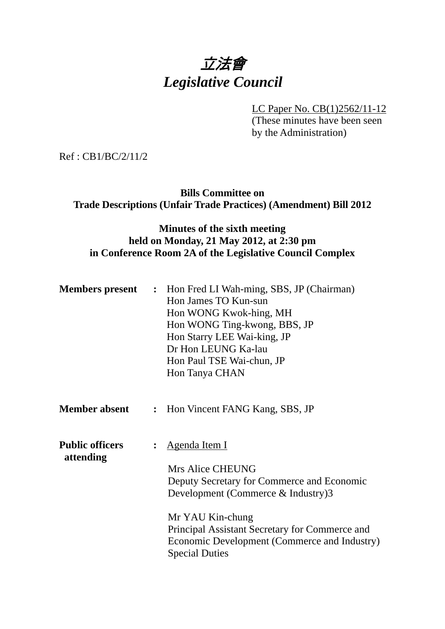## 立法會 *Legislative Council*

LC Paper No. CB(1)2562/11-12

(These minutes have been seen by the Administration)

Ref : CB1/BC/2/11/2

**Bills Committee on Trade Descriptions (Unfair Trade Practices) (Amendment) Bill 2012** 

## **Minutes of the sixth meeting held on Monday, 21 May 2012, at 2:30 pm in Conference Room 2A of the Legislative Council Complex**

| <b>Members present</b>              | : Hon Fred LI Wah-ming, SBS, JP (Chairman)<br>Hon James TO Kun-sun<br>Hon WONG Kwok-hing, MH<br>Hon WONG Ting-kwong, BBS, JP<br>Hon Starry LEE Wai-king, JP<br>Dr Hon LEUNG Ka-lau<br>Hon Paul TSE Wai-chun, JP<br>Hon Tanya CHAN                                              |
|-------------------------------------|--------------------------------------------------------------------------------------------------------------------------------------------------------------------------------------------------------------------------------------------------------------------------------|
| <b>Member absent</b>                | : Hon Vincent FANG Kang, SBS, JP                                                                                                                                                                                                                                               |
| <b>Public officers</b><br>attending | <u>Agenda Item I</u><br>Mrs Alice CHEUNG<br>Deputy Secretary for Commerce and Economic<br>Development (Commerce $\&$ Industry)3<br>Mr YAU Kin-chung<br>Principal Assistant Secretary for Commerce and<br>Economic Development (Commerce and Industry)<br><b>Special Duties</b> |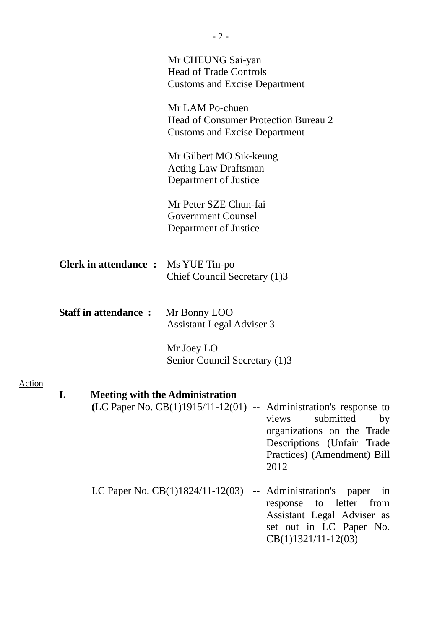|               |                                            | Mr CHEUNG Sai-yan<br><b>Head of Trade Controls</b><br><b>Customs and Excise Department</b>                                                                                                                                                   |
|---------------|--------------------------------------------|----------------------------------------------------------------------------------------------------------------------------------------------------------------------------------------------------------------------------------------------|
|               |                                            | Mr LAM Po-chuen<br><b>Head of Consumer Protection Bureau 2</b><br><b>Customs and Excise Department</b>                                                                                                                                       |
|               |                                            | Mr Gilbert MO Sik-keung<br><b>Acting Law Draftsman</b><br>Department of Justice                                                                                                                                                              |
|               |                                            | Mr Peter SZE Chun-fai<br><b>Government Counsel</b><br>Department of Justice                                                                                                                                                                  |
|               | <b>Clerk in attendance :</b> Ms YUE Tin-po | Chief Council Secretary (1)3                                                                                                                                                                                                                 |
|               | <b>Staff in attendance:</b>                | Mr Bonny LOO<br><b>Assistant Legal Adviser 3</b>                                                                                                                                                                                             |
|               |                                            | Mr Joey LO<br>Senior Council Secretary (1)3                                                                                                                                                                                                  |
| <b>Action</b> |                                            |                                                                                                                                                                                                                                              |
|               | I.                                         | <b>Meeting with the Administration</b><br>(LC Paper No. $CB(1)1915/11-12(01)$ -- Administration's response to<br>submitted<br>views<br>by<br>organizations on the Trade<br>Descriptions (Unfair Trade<br>Practices) (Amendment) Bill<br>2012 |
|               |                                            | -- Administration's<br>LC Paper No. $CB(1)1824/11-12(03)$<br>paper<br>in<br>letter<br>from<br>to<br>response<br>Assistant Legal Adviser as<br>set out in LC Paper No.<br>$CB(1)1321/11-12(03)$                                               |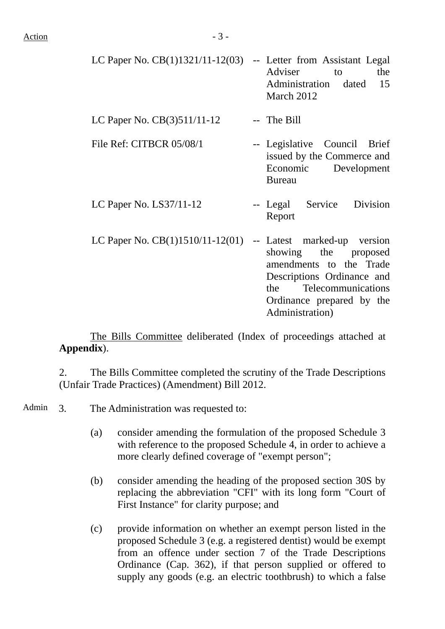| LC Paper No. $CB(1)1321/11-12(03)$                             | -- Letter from Assistant Legal<br>Adviser<br>the<br>to<br>Administration dated 15<br>March 2012                                                         |
|----------------------------------------------------------------|---------------------------------------------------------------------------------------------------------------------------------------------------------|
| LC Paper No. $CB(3)511/11-12$                                  | -- The Bill                                                                                                                                             |
| File Ref: CITBCR 05/08/1                                       | -- Legislative Council Brief<br>issued by the Commerce and<br>Economic Development<br><b>Bureau</b>                                                     |
| LC Paper No. $LS37/11-12$                                      | -- Legal Service Division<br>Report                                                                                                                     |
| LC Paper No. $CB(1)1510/11-12(01)$ -- Latest marked-up version | showing the proposed<br>amendments to the Trade<br>Descriptions Ordinance and<br>the Telecommunications<br>Ordinance prepared by the<br>Administration) |

 The Bills Committee deliberated (Index of proceedings attached at **Appendix**).

2. The Bills Committee completed the scrutiny of the Trade Descriptions (Unfair Trade Practices) (Amendment) Bill 2012.

Admin 3. The Administration was requested to:

- (a) consider amending the formulation of the proposed Schedule 3 with reference to the proposed Schedule 4, in order to achieve a more clearly defined coverage of "exempt person";
- (b) consider amending the heading of the proposed section 30S by replacing the abbreviation "CFI" with its long form "Court of First Instance" for clarity purpose; and
- (c) provide information on whether an exempt person listed in the proposed Schedule 3 (e.g. a registered dentist) would be exempt from an offence under section 7 of the Trade Descriptions Ordinance (Cap. 362), if that person supplied or offered to supply any goods (e.g. an electric toothbrush) to which a false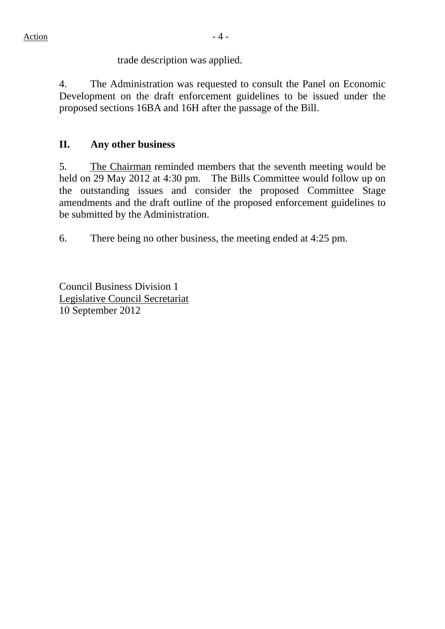trade description was applied.

4. The Administration was requested to consult the Panel on Economic Development on the draft enforcement guidelines to be issued under the proposed sections 16BA and 16H after the passage of the Bill.

## **II. Any other business**

5. The Chairman reminded members that the seventh meeting would be held on 29 May 2012 at 4:30 pm. The Bills Committee would follow up on the outstanding issues and consider the proposed Committee Stage amendments and the draft outline of the proposed enforcement guidelines to be submitted by the Administration.

6. There being no other business, the meeting ended at 4:25 pm.

Council Business Division 1 Legislative Council Secretariat 10 September 2012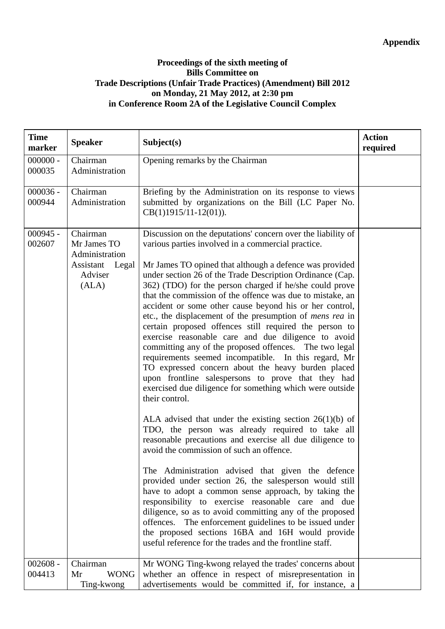## **Proceedings of the sixth meeting of Bills Committee on Trade Descriptions (Unfair Trade Practices) (Amendment) Bill 2012 on Monday, 21 May 2012, at 2:30 pm in Conference Room 2A of the Legislative Council Complex**

| <b>Time</b><br>marker | <b>Speaker</b>                                                                      | Subject(s)                                                                                                                                                                                                                                                                                                                                                                                                                                                                                                                                                                                                                                                                                                                                                                                                                                                                                                                                                                                                                                                                                                                                                                                                                                                                                                                                                                                                                                                                                                                                                                                                                 | <b>Action</b><br>required |
|-----------------------|-------------------------------------------------------------------------------------|----------------------------------------------------------------------------------------------------------------------------------------------------------------------------------------------------------------------------------------------------------------------------------------------------------------------------------------------------------------------------------------------------------------------------------------------------------------------------------------------------------------------------------------------------------------------------------------------------------------------------------------------------------------------------------------------------------------------------------------------------------------------------------------------------------------------------------------------------------------------------------------------------------------------------------------------------------------------------------------------------------------------------------------------------------------------------------------------------------------------------------------------------------------------------------------------------------------------------------------------------------------------------------------------------------------------------------------------------------------------------------------------------------------------------------------------------------------------------------------------------------------------------------------------------------------------------------------------------------------------------|---------------------------|
| $000000 -$<br>000035  | Chairman<br>Administration                                                          | Opening remarks by the Chairman                                                                                                                                                                                                                                                                                                                                                                                                                                                                                                                                                                                                                                                                                                                                                                                                                                                                                                                                                                                                                                                                                                                                                                                                                                                                                                                                                                                                                                                                                                                                                                                            |                           |
| $000036 -$<br>000944  | Chairman<br>Administration                                                          | Briefing by the Administration on its response to views<br>submitted by organizations on the Bill (LC Paper No.<br>$CB(1)1915/11-12(01)).$                                                                                                                                                                                                                                                                                                                                                                                                                                                                                                                                                                                                                                                                                                                                                                                                                                                                                                                                                                                                                                                                                                                                                                                                                                                                                                                                                                                                                                                                                 |                           |
| $000945 -$<br>002607  | Chairman<br>Mr James TO<br>Administration<br>Assistant<br>Legal<br>Adviser<br>(ALA) | Discussion on the deputations' concern over the liability of<br>various parties involved in a commercial practice.<br>Mr James TO opined that although a defence was provided<br>under section 26 of the Trade Description Ordinance (Cap.<br>362) (TDO) for the person charged if he/she could prove<br>that the commission of the offence was due to mistake, an<br>accident or some other cause beyond his or her control,<br>etc., the displacement of the presumption of <i>mens rea</i> in<br>certain proposed offences still required the person to<br>exercise reasonable care and due diligence to avoid<br>committing any of the proposed offences. The two legal<br>requirements seemed incompatible. In this regard, Mr<br>TO expressed concern about the heavy burden placed<br>upon frontline salespersons to prove that they had<br>exercised due diligence for something which were outside<br>their control.<br>ALA advised that under the existing section $26(1)(b)$ of<br>TDO, the person was already required to take all<br>reasonable precautions and exercise all due diligence to<br>avoid the commission of such an offence.<br>The Administration advised that given the defence<br>provided under section 26, the salesperson would still<br>have to adopt a common sense approach, by taking the<br>responsibility to exercise reasonable care and due<br>diligence, so as to avoid committing any of the proposed<br>offences. The enforcement guidelines to be issued under<br>the proposed sections 16BA and 16H would provide<br>useful reference for the trades and the frontline staff. |                           |
| $002608 -$<br>004413  | Chairman<br><b>WONG</b><br>Mr<br>Ting-kwong                                         | Mr WONG Ting-kwong relayed the trades' concerns about<br>whether an offence in respect of misrepresentation in<br>advertisements would be committed if, for instance, a                                                                                                                                                                                                                                                                                                                                                                                                                                                                                                                                                                                                                                                                                                                                                                                                                                                                                                                                                                                                                                                                                                                                                                                                                                                                                                                                                                                                                                                    |                           |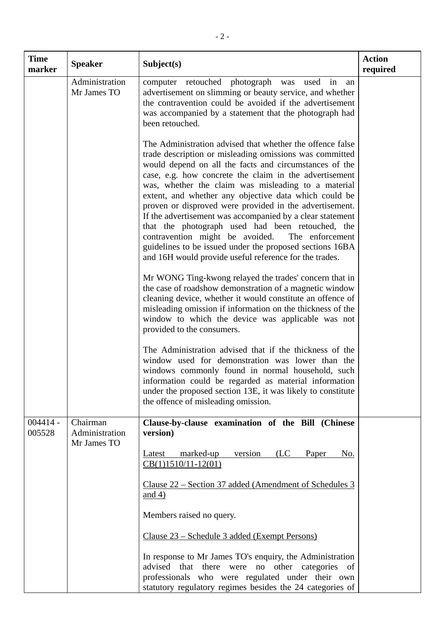| <b>Time</b><br>marker | <b>Speaker</b>                            | Subject(s)                                                                                                                                                                                                                                                                                                                                                                                                                                                                                                                                                                                                                                                                                                       | <b>Action</b><br>required |
|-----------------------|-------------------------------------------|------------------------------------------------------------------------------------------------------------------------------------------------------------------------------------------------------------------------------------------------------------------------------------------------------------------------------------------------------------------------------------------------------------------------------------------------------------------------------------------------------------------------------------------------------------------------------------------------------------------------------------------------------------------------------------------------------------------|---------------------------|
|                       | Administration<br>Mr James TO             | computer retouched photograph was used in<br>an<br>advertisement on slimming or beauty service, and whether<br>the contravention could be avoided if the advertisement<br>was accompanied by a statement that the photograph had<br>been retouched.                                                                                                                                                                                                                                                                                                                                                                                                                                                              |                           |
|                       |                                           | The Administration advised that whether the offence false<br>trade description or misleading omissions was committed<br>would depend on all the facts and circumstances of the<br>case, e.g. how concrete the claim in the advertisement<br>was, whether the claim was misleading to a material<br>extent, and whether any objective data which could be<br>proven or disproved were provided in the advertisement.<br>If the advertisement was accompanied by a clear statement<br>that the photograph used had been retouched, the<br>contravention might be avoided.<br>The enforcement<br>guidelines to be issued under the proposed sections 16BA<br>and 16H would provide useful reference for the trades. |                           |
|                       |                                           | Mr WONG Ting-kwong relayed the trades' concern that in<br>the case of roadshow demonstration of a magnetic window<br>cleaning device, whether it would constitute an offence of<br>misleading omission if information on the thickness of the<br>window to which the device was applicable was not<br>provided to the consumers.                                                                                                                                                                                                                                                                                                                                                                                 |                           |
|                       |                                           | The Administration advised that if the thickness of the<br>window used for demonstration was lower than the<br>windows commonly found in normal household, such<br>information could be regarded as material information<br>under the proposed section 13E, it was likely to constitute<br>the offence of misleading omission.                                                                                                                                                                                                                                                                                                                                                                                   |                           |
| $004414 -$<br>005528  | Chairman<br>Administration<br>Mr James TO | Clause-by-clause examination of the Bill (Chinese<br>version)                                                                                                                                                                                                                                                                                                                                                                                                                                                                                                                                                                                                                                                    |                           |
|                       |                                           | marked-up<br>version<br>(LC)<br>Paper<br>Latest<br>No.<br>$CB(1)1510/11-12(01)$                                                                                                                                                                                                                                                                                                                                                                                                                                                                                                                                                                                                                                  |                           |
|                       |                                           | Clause 22 – Section 37 added (Amendment of Schedules 3)<br>$\frac{\text{and } 4}{\text{and } 4}$                                                                                                                                                                                                                                                                                                                                                                                                                                                                                                                                                                                                                 |                           |
|                       |                                           | Members raised no query.                                                                                                                                                                                                                                                                                                                                                                                                                                                                                                                                                                                                                                                                                         |                           |
|                       |                                           | <u> Clause 23 – Schedule 3 added (Exempt Persons)</u>                                                                                                                                                                                                                                                                                                                                                                                                                                                                                                                                                                                                                                                            |                           |
|                       |                                           | In response to Mr James TO's enquiry, the Administration<br>advised that there were no<br>other categories of<br>professionals who were regulated under their own<br>statutory regulatory regimes besides the 24 categories of                                                                                                                                                                                                                                                                                                                                                                                                                                                                                   |                           |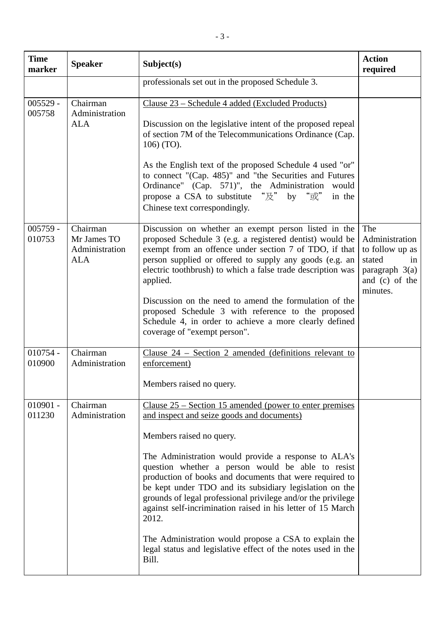| <b>Time</b><br>marker | <b>Speaker</b>                                          | Subject(s)                                                                                                                                                                                                                                                                                                                                                              | <b>Action</b><br>required                                                                                  |
|-----------------------|---------------------------------------------------------|-------------------------------------------------------------------------------------------------------------------------------------------------------------------------------------------------------------------------------------------------------------------------------------------------------------------------------------------------------------------------|------------------------------------------------------------------------------------------------------------|
|                       |                                                         | professionals set out in the proposed Schedule 3.                                                                                                                                                                                                                                                                                                                       |                                                                                                            |
| $005529 -$<br>005758  | Chairman<br>Administration                              | Clause 23 – Schedule 4 added (Excluded Products)                                                                                                                                                                                                                                                                                                                        |                                                                                                            |
|                       | <b>ALA</b>                                              | Discussion on the legislative intent of the proposed repeal<br>of section 7M of the Telecommunications Ordinance (Cap.<br>106) (TO).                                                                                                                                                                                                                                    |                                                                                                            |
|                       |                                                         | As the English text of the proposed Schedule 4 used "or"<br>to connect "(Cap. 485)" and "the Securities and Futures<br>Ordinance" (Cap. 571)", the Administration would<br>propose a CSA to substitute " $\mathbb{R}$ " by " $\mathbb{R}$ "<br>in the<br>Chinese text correspondingly.                                                                                  |                                                                                                            |
| $005759 -$<br>010753  | Chairman<br>Mr James TO<br>Administration<br><b>ALA</b> | Discussion on whether an exempt person listed in the<br>proposed Schedule 3 (e.g. a registered dentist) would be<br>exempt from an offence under section 7 of TDO, if that<br>person supplied or offered to supply any goods (e.g. an<br>electric toothbrush) to which a false trade description was<br>applied.                                                        | The<br>Administration<br>to follow up as<br>stated<br>in<br>paragraph $3(a)$<br>and (c) of the<br>minutes. |
|                       |                                                         | Discussion on the need to amend the formulation of the<br>proposed Schedule 3 with reference to the proposed<br>Schedule 4, in order to achieve a more clearly defined<br>coverage of "exempt person".                                                                                                                                                                  |                                                                                                            |
| $010754 -$<br>010900  | Chairman<br>Administration                              | Clause $24$ – Section 2 amended (definitions relevant to<br>enforcement)                                                                                                                                                                                                                                                                                                |                                                                                                            |
|                       |                                                         | Members raised no query.                                                                                                                                                                                                                                                                                                                                                |                                                                                                            |
| $010901 -$<br>011230  | Chairman<br>Administration                              | Clause $25$ – Section 15 amended (power to enter premises<br>and inspect and seize goods and documents)                                                                                                                                                                                                                                                                 |                                                                                                            |
|                       |                                                         | Members raised no query.                                                                                                                                                                                                                                                                                                                                                |                                                                                                            |
|                       |                                                         | The Administration would provide a response to ALA's<br>question whether a person would be able to resist<br>production of books and documents that were required to<br>be kept under TDO and its subsidiary legislation on the<br>grounds of legal professional privilege and/or the privilege<br>against self-incrimination raised in his letter of 15 March<br>2012. |                                                                                                            |
|                       |                                                         | The Administration would propose a CSA to explain the<br>legal status and legislative effect of the notes used in the<br>Bill.                                                                                                                                                                                                                                          |                                                                                                            |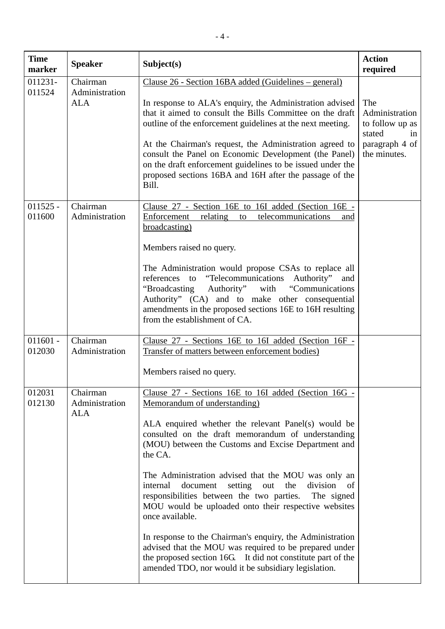| <b>Time</b><br>marker | <b>Speaker</b>                           | Subject(s)                                                                                                                                                                                                                                                                                                                                                                                                                                                                                                                                                                                                                                                                                                                                                                        | <b>Action</b><br>required                                                                  |
|-----------------------|------------------------------------------|-----------------------------------------------------------------------------------------------------------------------------------------------------------------------------------------------------------------------------------------------------------------------------------------------------------------------------------------------------------------------------------------------------------------------------------------------------------------------------------------------------------------------------------------------------------------------------------------------------------------------------------------------------------------------------------------------------------------------------------------------------------------------------------|--------------------------------------------------------------------------------------------|
| 011231-<br>011524     | Chairman<br>Administration<br><b>ALA</b> | Clause 26 - Section 16BA added (Guidelines – general)<br>In response to ALA's enquiry, the Administration advised<br>that it aimed to consult the Bills Committee on the draft<br>outline of the enforcement guidelines at the next meeting.<br>At the Chairman's request, the Administration agreed to<br>consult the Panel on Economic Development (the Panel)<br>on the draft enforcement guidelines to be issued under the<br>proposed sections 16BA and 16H after the passage of the<br>Bill.                                                                                                                                                                                                                                                                                | The<br>Administration<br>to follow up as<br>stated<br>in<br>paragraph 4 of<br>the minutes. |
| $011525 -$<br>011600  | Chairman<br>Administration               | Clause 27 - Section 16E to 16I added (Section 16E -<br>Enforcement<br>relating<br>telecommunications<br>to<br>and<br>broadcasting)<br>Members raised no query.<br>The Administration would propose CSAs to replace all<br>references to "Telecommunications Authority" and<br>Authority"<br>"Communications<br>"Broadcasting<br>with<br>Authority" (CA) and to make other consequential<br>amendments in the proposed sections 16E to 16H resulting<br>from the establishment of CA.                                                                                                                                                                                                                                                                                              |                                                                                            |
| $011601 -$<br>012030  | Chairman<br>Administration               | Clause 27 - Sections 16E to 16I added (Section 16F -<br>Transfer of matters between enforcement bodies)<br>Members raised no query.                                                                                                                                                                                                                                                                                                                                                                                                                                                                                                                                                                                                                                               |                                                                                            |
| 012031<br>012130      | Chairman<br>Administration<br><b>ALA</b> | Clause 27 - Sections 16E to 16I added (Section 16G -<br>Memorandum of understanding)<br>ALA enquired whether the relevant Panel(s) would be<br>consulted on the draft memorandum of understanding<br>(MOU) between the Customs and Excise Department and<br>the CA.<br>The Administration advised that the MOU was only an<br>document<br>setting<br>out<br>the<br>division<br>internal<br>of<br>responsibilities between the two parties.<br>The signed<br>MOU would be uploaded onto their respective websites<br>once available.<br>In response to the Chairman's enquiry, the Administration<br>advised that the MOU was required to be prepared under<br>the proposed section 16G. It did not constitute part of the<br>amended TDO, nor would it be subsidiary legislation. |                                                                                            |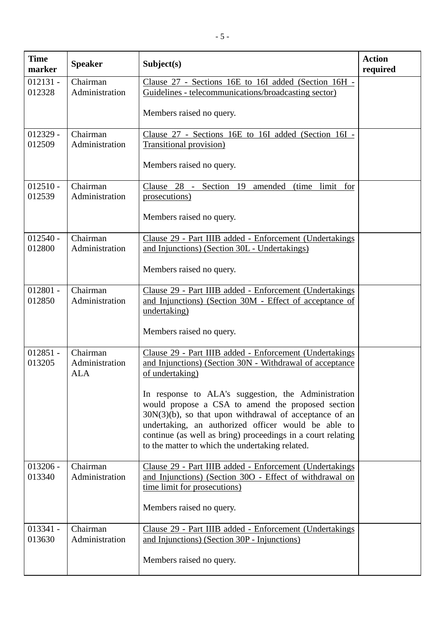| <b>Time</b><br>marker | <b>Speaker</b>                           | Subject(s)                                                                                                                                                                                                                                                                                                                                     | <b>Action</b><br>required |
|-----------------------|------------------------------------------|------------------------------------------------------------------------------------------------------------------------------------------------------------------------------------------------------------------------------------------------------------------------------------------------------------------------------------------------|---------------------------|
| $012131 -$<br>012328  | Chairman<br>Administration               | Clause 27 - Sections 16E to 16I added (Section 16H -<br>Guidelines - telecommunications/broadcasting sector)                                                                                                                                                                                                                                   |                           |
|                       |                                          | Members raised no query.                                                                                                                                                                                                                                                                                                                       |                           |
| $012329 -$<br>012509  | Chairman<br>Administration               | Clause 27 - Sections 16E to 16I added (Section 16I -<br>Transitional provision)                                                                                                                                                                                                                                                                |                           |
|                       |                                          | Members raised no query.                                                                                                                                                                                                                                                                                                                       |                           |
| $012510 -$<br>012539  | Chairman<br>Administration               | Clause 28 - Section 19<br>amended<br>(time)<br>limit<br>for<br>prosecutions)                                                                                                                                                                                                                                                                   |                           |
|                       |                                          | Members raised no query.                                                                                                                                                                                                                                                                                                                       |                           |
| $012540 -$<br>012800  | Chairman<br>Administration               | Clause 29 - Part IIIB added - Enforcement (Undertakings<br>and Injunctions) (Section 30L - Undertakings)                                                                                                                                                                                                                                       |                           |
|                       |                                          | Members raised no query.                                                                                                                                                                                                                                                                                                                       |                           |
| $012801 -$<br>012850  | Chairman<br>Administration               | Clause 29 - Part IIIB added - Enforcement (Undertakings<br>and Injunctions) (Section 30M - Effect of acceptance of<br>undertaking)                                                                                                                                                                                                             |                           |
|                       |                                          | Members raised no query.                                                                                                                                                                                                                                                                                                                       |                           |
| $012851 -$<br>013205  | Chairman<br>Administration<br><b>ALA</b> | Clause 29 - Part IIIB added - Enforcement (Undertakings<br>and Injunctions) (Section 30N - Withdrawal of acceptance<br>of undertaking)                                                                                                                                                                                                         |                           |
|                       |                                          | In response to ALA's suggestion, the Administration<br>would propose a CSA to amend the proposed section<br>$30N(3)(b)$ , so that upon withdrawal of acceptance of an<br>undertaking, an authorized officer would be able to<br>continue (as well as bring) proceedings in a court relating<br>to the matter to which the undertaking related. |                           |
| $013206 -$<br>013340  | Chairman<br>Administration               | Clause 29 - Part IIIB added - Enforcement (Undertakings<br>and Injunctions) (Section 30O - Effect of withdrawal on<br>time limit for prosecutions)<br>Members raised no query.                                                                                                                                                                 |                           |
| $013341 -$            | Chairman                                 | Clause 29 - Part IIIB added - Enforcement (Undertakings                                                                                                                                                                                                                                                                                        |                           |
| 013630                | Administration                           | and Injunctions) (Section 30P - Injunctions)                                                                                                                                                                                                                                                                                                   |                           |
|                       |                                          | Members raised no query.                                                                                                                                                                                                                                                                                                                       |                           |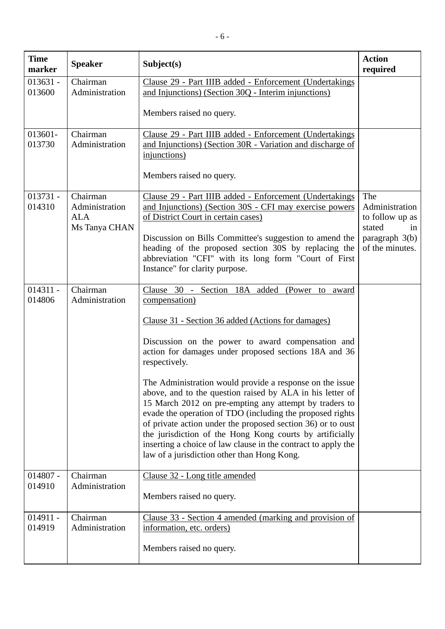| <b>Time</b><br>marker | <b>Speaker</b>                                            | Subject(s)                                                                                                                                                                                                                                                                                                                                                                                                                                                                              | <b>Action</b><br>required                                |
|-----------------------|-----------------------------------------------------------|-----------------------------------------------------------------------------------------------------------------------------------------------------------------------------------------------------------------------------------------------------------------------------------------------------------------------------------------------------------------------------------------------------------------------------------------------------------------------------------------|----------------------------------------------------------|
| $013631 -$<br>013600  | Chairman<br>Administration                                | Clause 29 - Part IIIB added - Enforcement (Undertakings<br>and Injunctions) (Section 30Q - Interim injunctions)                                                                                                                                                                                                                                                                                                                                                                         |                                                          |
|                       |                                                           | Members raised no query.                                                                                                                                                                                                                                                                                                                                                                                                                                                                |                                                          |
| 013601-<br>013730     | Chairman<br>Administration                                | Clause 29 - Part IIIB added - Enforcement (Undertakings<br>and Injunctions) (Section 30R - Variation and discharge of<br>injunctions)                                                                                                                                                                                                                                                                                                                                                   |                                                          |
|                       |                                                           | Members raised no query.                                                                                                                                                                                                                                                                                                                                                                                                                                                                |                                                          |
| $013731 -$<br>014310  | Chairman<br>Administration<br><b>ALA</b><br>Ms Tanya CHAN | Clause 29 - Part IIIB added - Enforcement (Undertakings<br>and Injunctions) (Section 30S - CFI may exercise powers<br>of District Court in certain cases)                                                                                                                                                                                                                                                                                                                               | The<br>Administration<br>to follow up as<br>stated<br>in |
|                       |                                                           | Discussion on Bills Committee's suggestion to amend the<br>heading of the proposed section 30S by replacing the<br>abbreviation "CFI" with its long form "Court of First<br>Instance" for clarity purpose.                                                                                                                                                                                                                                                                              | paragraph 3(b)<br>of the minutes.                        |
| $014311 -$<br>014806  | Chairman<br>Administration                                | Clause 30 -<br>Section 18A added<br>(Power to award<br>compensation)                                                                                                                                                                                                                                                                                                                                                                                                                    |                                                          |
|                       |                                                           | Clause 31 - Section 36 added (Actions for damages)                                                                                                                                                                                                                                                                                                                                                                                                                                      |                                                          |
|                       |                                                           | Discussion on the power to award compensation and<br>action for damages under proposed sections 18A and 36<br>respectively.                                                                                                                                                                                                                                                                                                                                                             |                                                          |
|                       |                                                           | The Administration would provide a response on the issue<br>above, and to the question raised by ALA in his letter of<br>15 March 2012 on pre-empting any attempt by traders to<br>evade the operation of TDO (including the proposed rights<br>of private action under the proposed section 36) or to oust<br>the jurisdiction of the Hong Kong courts by artificially<br>inserting a choice of law clause in the contract to apply the<br>law of a jurisdiction other than Hong Kong. |                                                          |
| $014807 -$<br>014910  | Chairman<br>Administration                                | Clause 32 - Long title amended                                                                                                                                                                                                                                                                                                                                                                                                                                                          |                                                          |
|                       |                                                           | Members raised no query.                                                                                                                                                                                                                                                                                                                                                                                                                                                                |                                                          |
| $014911 -$<br>014919  | Chairman<br>Administration                                | <u>Clause 33 - Section 4 amended (marking and provision of</u><br>information, etc. orders)                                                                                                                                                                                                                                                                                                                                                                                             |                                                          |
|                       |                                                           | Members raised no query.                                                                                                                                                                                                                                                                                                                                                                                                                                                                |                                                          |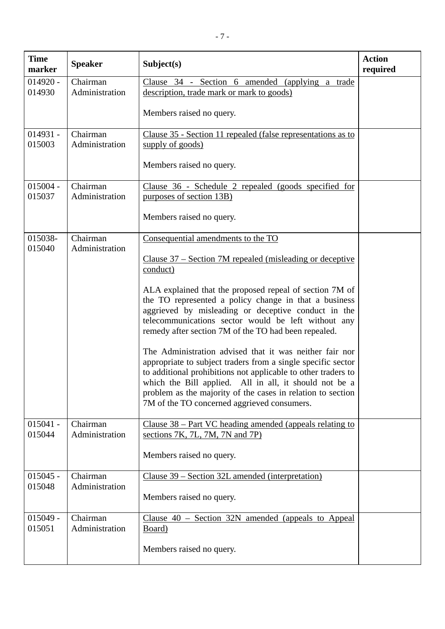| <b>Time</b><br>marker | <b>Speaker</b>             | Subject(s)                                                                                                                                                                                                                                                                                                                                                                                                                                                                                                                                                                                                                                                                                                                                                               | <b>Action</b><br>required |
|-----------------------|----------------------------|--------------------------------------------------------------------------------------------------------------------------------------------------------------------------------------------------------------------------------------------------------------------------------------------------------------------------------------------------------------------------------------------------------------------------------------------------------------------------------------------------------------------------------------------------------------------------------------------------------------------------------------------------------------------------------------------------------------------------------------------------------------------------|---------------------------|
| $014920 -$<br>014930  | Chairman<br>Administration | Clause 34 - Section 6 amended (applying a trade<br>description, trade mark or mark to goods)<br>Members raised no query.                                                                                                                                                                                                                                                                                                                                                                                                                                                                                                                                                                                                                                                 |                           |
| $014931 -$<br>015003  | Chairman<br>Administration | Clause 35 - Section 11 repealed (false representations as to<br>supply of goods)<br>Members raised no query.                                                                                                                                                                                                                                                                                                                                                                                                                                                                                                                                                                                                                                                             |                           |
| $015004 -$<br>015037  | Chairman<br>Administration | <u>Clause 36 - Schedule 2 repealed (goods specified for</u><br>purposes of section 13B)<br>Members raised no query.                                                                                                                                                                                                                                                                                                                                                                                                                                                                                                                                                                                                                                                      |                           |
| 015038-<br>015040     | Chairman<br>Administration | Consequential amendments to the TO<br>Clause 37 – Section 7M repealed (misleading or deceptive<br>conduct)<br>ALA explained that the proposed repeal of section 7M of<br>the TO represented a policy change in that a business<br>aggrieved by misleading or deceptive conduct in the<br>telecommunications sector would be left without any<br>remedy after section 7M of the TO had been repealed.<br>The Administration advised that it was neither fair nor<br>appropriate to subject traders from a single specific sector<br>to additional prohibitions not applicable to other traders to<br>which the Bill applied. All in all, it should not be a<br>problem as the majority of the cases in relation to section<br>7M of the TO concerned aggrieved consumers. |                           |
| $015041 -$<br>015044  | Chairman<br>Administration | Clause 38 – Part VC heading amended (appeals relating to<br>sections 7K, 7L, 7M, 7N and 7P)<br>Members raised no query.                                                                                                                                                                                                                                                                                                                                                                                                                                                                                                                                                                                                                                                  |                           |
| $015045 -$<br>015048  | Chairman<br>Administration | Clause 39 – Section 32L amended (interpretation)<br>Members raised no query.                                                                                                                                                                                                                                                                                                                                                                                                                                                                                                                                                                                                                                                                                             |                           |
| $015049 -$<br>015051  | Chairman<br>Administration | Clause 40 - Section 32N amended (appeals to Appeal<br>Board)<br>Members raised no query.                                                                                                                                                                                                                                                                                                                                                                                                                                                                                                                                                                                                                                                                                 |                           |